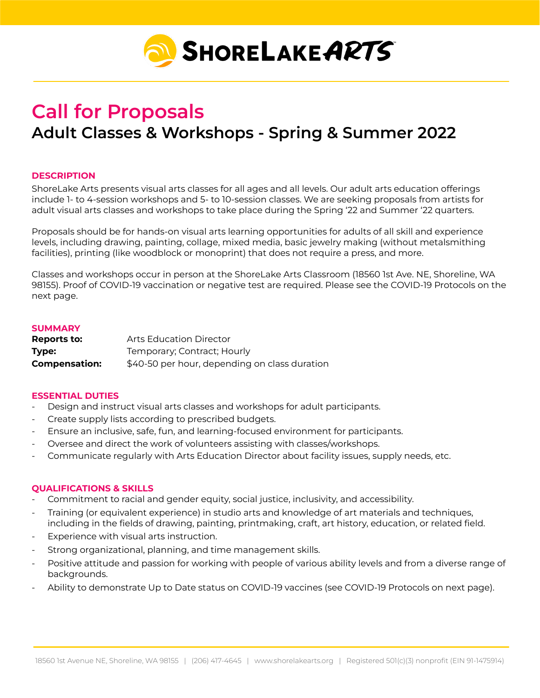

# **Call for Proposals Adult Classes & Workshops - Spring & Summer 2022**

## **DESCRIPTION**

ShoreLake Arts presents visual arts classes for all ages and all levels. Our adult arts education offerings include 1- to 4-session workshops and 5- to 10-session classes. We are seeking proposals from artists for adult visual arts classes and workshops to take place during the Spring '22 and Summer '22 quarters.

Proposals should be for hands-on visual arts learning opportunities for adults of all skill and experience levels, including drawing, painting, collage, mixed media, basic jewelry making (without metalsmithing facilities), printing (like woodblock or monoprint) that does not require a press, and more.

Classes and workshops occur in person at the ShoreLake Arts Classroom (18560 1st Ave. NE, Shoreline, WA 98155). Proof of COVID-19 vaccination or negative test are required. Please see the COVID-19 Protocols on the next page.

#### **SUMMARY**

| Reports to:          | <b>Arts Education Director</b>                |
|----------------------|-----------------------------------------------|
| Type:                | Temporary; Contract; Hourly                   |
| <b>Compensation:</b> | \$40-50 per hour, depending on class duration |

#### **ESSENTIAL DUTIES**

- Design and instruct visual arts classes and workshops for adult participants.
- Create supply lists according to prescribed budgets.
- Ensure an inclusive, safe, fun, and learning-focused environment for participants.
- Oversee and direct the work of volunteers assisting with classes/workshops.
- Communicate regularly with Arts Education Director about facility issues, supply needs, etc.

#### **QUALIFICATIONS & SKILLS**

- Commitment to racial and gender equity, social justice, inclusivity, and accessibility.
- Training (or equivalent experience) in studio arts and knowledge of art materials and techniques, including in the fields of drawing, painting, printmaking, craft, art history, education, or related field.
- Experience with visual arts instruction.
- Strong organizational, planning, and time management skills.
- Positive attitude and passion for working with people of various ability levels and from a diverse range of backgrounds.
- Ability to demonstrate Up to Date status on COVID-19 vaccines (see COVID-19 Protocols on next page).